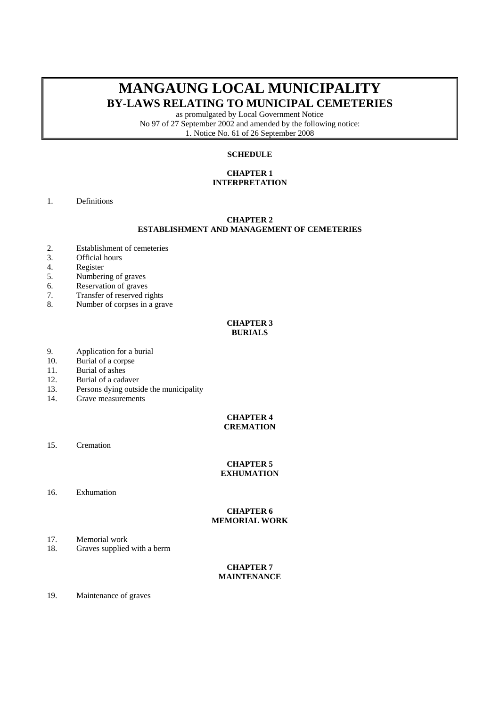# **MANGAUNG LOCAL MUNICIPALITY BY-LAWS RELATING TO MUNICIPAL CEMETERIES**

as promulgated by Local Government Notice No 97 of 27 September 2002 and amended by the following notice: 1. Notice No. 61 of 26 September 2008

# **SCHEDULE**

# **CHAPTER 1 INTERPRETATION**

1. Definitions

## **CHAPTER 2 ESTABLISHMENT AND MANAGEMENT OF CEMETERIES**

- 2. Establishment of cemeteries<br>3. Official hours
- 3. Official hours<br>4. Register
- Register
- 5. Numbering of graves
- 6. Reservation of graves
- 7. Transfer of reserved rights
- 8. Number of corpses in a grave

## **CHAPTER 3 BURIALS**

- 9. Application for a burial
- 10. Burial of a corpse
- 11. Burial of ashes
- 12. Burial of a cadaver
- 13. Persons dying outside the municipality
- 14. Grave measurements

## **CHAPTER 4 CREMATION**

15. Cremation

# **CHAPTER 5 EXHUMATION**

16. Exhumation

# **CHAPTER 6 MEMORIAL WORK**

- 17. Memorial work
- 18. Graves supplied with a berm

# **CHAPTER 7 MAINTENANCE**

19. Maintenance of graves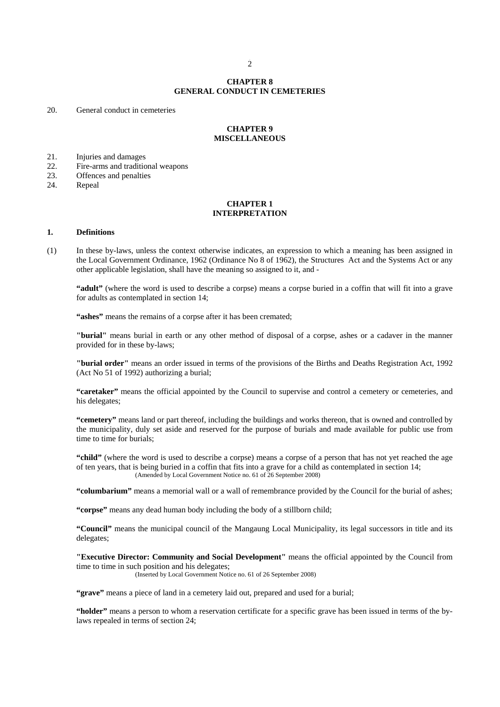2 **2**

# **CHAPTER 8 GENERAL CONDUCT IN CEMETERIES**

20. General conduct in cemeteries

#### **CHAPTER 9 MISCELLANEOUS**

21. Injuries and damages<br>22. Fire-arms and tradition

- 22. Fire-arms and traditional weapons<br>23. Offences and penalties
- Offences and penalties
- 24. Repeal

# **CHAPTER 1 INTERPRETATION**

#### **1. Definitions**

(1) In these by-laws, unless the context otherwise indicates, an expression to which a meaning has been assigned in the Local Government Ordinance, 1962 (Ordinance No 8 of 1962), the Structures Act and the Systems Act or any other applicable legislation, shall have the meaning so assigned to it, and -

**"adult"** (where the word is used to describe a corpse) means a corpse buried in a coffin that will fit into a grave for adults as contemplated in section 14;

**"ashes"** means the remains of a corpse after it has been cremated;

**"burial"** means burial in earth or any other method of disposal of a corpse, ashes or a cadaver in the manner provided for in these by-laws;

**"burial order"** means an order issued in terms of the provisions of the Births and Deaths Registration Act, 1992 (Act No 51 of 1992) authorizing a burial;

**"caretaker"** means the official appointed by the Council to supervise and control a cemetery or cemeteries, and his delegates;

**"cemetery"** means land or part thereof, including the buildings and works thereon, that is owned and controlled by the municipality, duly set aside and reserved for the purpose of burials and made available for public use from time to time for burials;

**"child"** (where the word is used to describe a corpse) means a corpse of a person that has not yet reached the age of ten years, that is being buried in a coffin that fits into a grave for a child as contemplated in section 14; (Amended by Local Government Notice no. 61 of 26 September 2008)

**"columbarium"** means a memorial wall or a wall of remembrance provided by the Council for the burial of ashes;

**"corpse"** means any dead human body including the body of a stillborn child;

**"Council"** means the municipal council of the Mangaung Local Municipality, its legal successors in title and its delegates;

**"Executive Director: Community and Social Development"** means the official appointed by the Council from time to time in such position and his delegates;

(Inserted by Local Government Notice no. 61 of 26 September 2008)

"grave" means a piece of land in a cemetery laid out, prepared and used for a burial;

**"holder"** means a person to whom a reservation certificate for a specific grave has been issued in terms of the bylaws repealed in terms of section 24;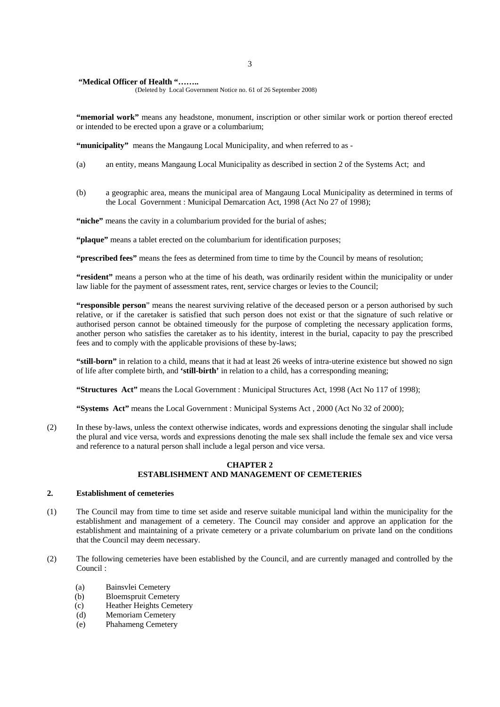# **"Medical Officer of Health "……..**

(Deleted by Local Government Notice no. 61 of 26 September 2008)

**"memorial work"** means any headstone, monument, inscription or other similar work or portion thereof erected or intended to be erected upon a grave or a columbarium;

**"municipality"** means the Mangaung Local Municipality, and when referred to as -

- (a) an entity, means Mangaung Local Municipality as described in section 2 of the Systems Act; and
- (b) a geographic area, means the municipal area of Mangaung Local Municipality as determined in terms of the Local Government : Municipal Demarcation Act, 1998 (Act No 27 of 1998);

"niche" means the cavity in a columbarium provided for the burial of ashes;

**"plaque"** means a tablet erected on the columbarium for identification purposes;

**"prescribed fees"** means the fees as determined from time to time by the Council by means of resolution;

**"resident"** means a person who at the time of his death, was ordinarily resident within the municipality or under law liable for the payment of assessment rates, rent, service charges or levies to the Council;

**"responsible person**" means the nearest surviving relative of the deceased person or a person authorised by such relative, or if the caretaker is satisfied that such person does not exist or that the signature of such relative or authorised person cannot be obtained timeously for the purpose of completing the necessary application forms, another person who satisfies the caretaker as to his identity, interest in the burial, capacity to pay the prescribed fees and to comply with the applicable provisions of these by-laws;

 **"still-born"** in relation to a child, means that it had at least 26 weeks of intra-uterine existence but showed no sign of life after complete birth, and **'still-birth'** in relation to a child, has a corresponding meaning;

**"Structures Act"** means the Local Government : Municipal Structures Act, 1998 (Act No 117 of 1998);

**"Systems Act"** means the Local Government : Municipal Systems Act , 2000 (Act No 32 of 2000);

(2) In these by-laws, unless the context otherwise indicates, words and expressions denoting the singular shall include the plural and vice versa, words and expressions denoting the male sex shall include the female sex and vice versa and reference to a natural person shall include a legal person and vice versa.

# **CHAPTER 2 ESTABLISHMENT AND MANAGEMENT OF CEMETERIES**

## **2. Establishment of cemeteries**

- (1) The Council may from time to time set aside and reserve suitable municipal land within the municipality for the establishment and management of a cemetery. The Council may consider and approve an application for the establishment and maintaining of a private cemetery or a private columbarium on private land on the conditions that the Council may deem necessary.
- (2) The following cemeteries have been established by the Council, and are currently managed and controlled by the Council :
	- (a) Bainsvlei Cemetery
	- (b) Bloemspruit Cemetery
	- (c) Heather Heights Cemetery
	- (d) Memoriam Cemetery
	- (e) Phahameng Cemetery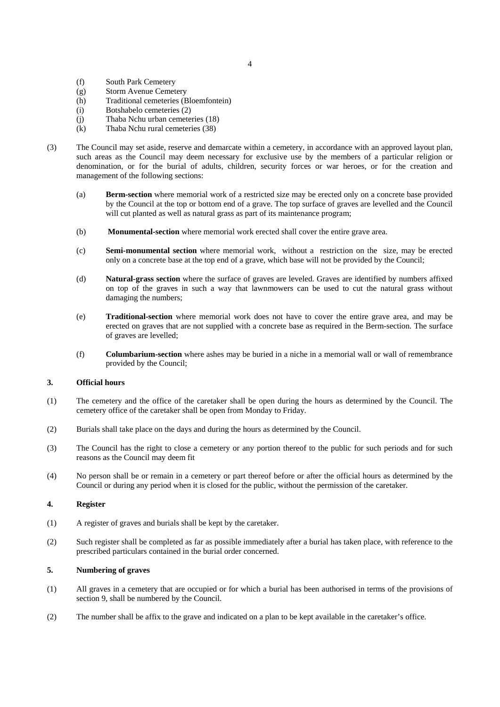- (f) South Park Cemetery
- (g) Storm Avenue Cemetery
- (h) Traditional cemeteries (Bloemfontein)
- (i) Botshabelo cemeteries (2)
- (j) Thaba Nchu urban cemeteries (18)
- (k) Thaba Nchu rural cemeteries (38)
- (3) The Council may set aside, reserve and demarcate within a cemetery, in accordance with an approved layout plan, such areas as the Council may deem necessary for exclusive use by the members of a particular religion or denomination, or for the burial of adults, children, security forces or war heroes, or for the creation and management of the following sections:
	- (a) **Berm-section** where memorial work of a restricted size may be erected only on a concrete base provided by the Council at the top or bottom end of a grave. The top surface of graves are levelled and the Council will cut planted as well as natural grass as part of its maintenance program;
	- (b) **Monumental-section** where memorial work erected shall cover the entire grave area.
	- (c) **Semi-monumental section** where memorial work, without a restriction on the size, may be erected only on a concrete base at the top end of a grave, which base will not be provided by the Council;
	- (d) **Natural-grass section** where the surface of graves are leveled. Graves are identified by numbers affixed on top of the graves in such a way that lawnmowers can be used to cut the natural grass without damaging the numbers;
	- (e) **Traditional-section** where memorial work does not have to cover the entire grave area, and may be erected on graves that are not supplied with a concrete base as required in the Berm-section. The surface of graves are levelled;
	- (f) **Columbarium-section** where ashes may be buried in a niche in a memorial wall or wall of remembrance provided by the Council;

# **3. Official hours**

- (1) The cemetery and the office of the caretaker shall be open during the hours as determined by the Council. The cemetery office of the caretaker shall be open from Monday to Friday.
- (2) Burials shall take place on the days and during the hours as determined by the Council.
- (3) The Council has the right to close a cemetery or any portion thereof to the public for such periods and for such reasons as the Council may deem fit
- (4) No person shall be or remain in a cemetery or part thereof before or after the official hours as determined by the Council or during any period when it is closed for the public, without the permission of the caretaker.

#### **4. Register**

- (1) A register of graves and burials shall be kept by the caretaker.
- (2) Such register shall be completed as far as possible immediately after a burial has taken place, with reference to the prescribed particulars contained in the burial order concerned.

# **5. Numbering of graves**

- (1) All graves in a cemetery that are occupied or for which a burial has been authorised in terms of the provisions of section 9, shall be numbered by the Council.
- (2) The number shall be affix to the grave and indicated on a plan to be kept available in the caretaker's office.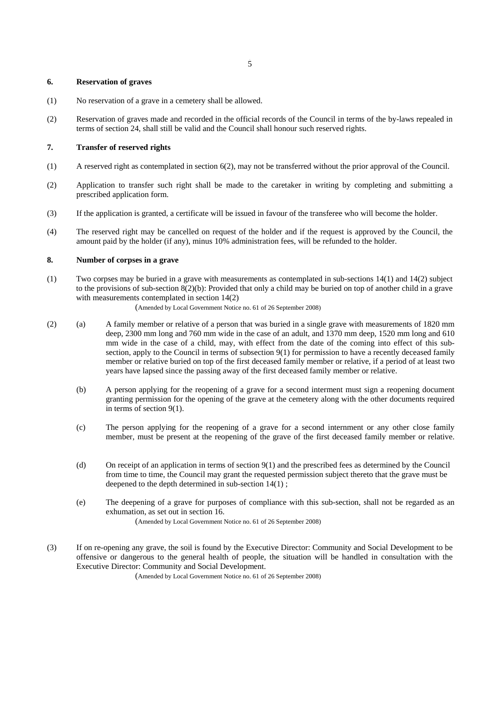# **6. Reservation of graves**

- (1) No reservation of a grave in a cemetery shall be allowed.
- (2) Reservation of graves made and recorded in the official records of the Council in terms of the by-laws repealed in terms of section 24, shall still be valid and the Council shall honour such reserved rights.

#### **7. Transfer of reserved rights**

- (1) A reserved right as contemplated in section 6(2), may not be transferred without the prior approval of the Council.
- (2) Application to transfer such right shall be made to the caretaker in writing by completing and submitting a prescribed application form.
- (3) If the application is granted, a certificate will be issued in favour of the transferee who will become the holder.
- (4) The reserved right may be cancelled on request of the holder and if the request is approved by the Council, the amount paid by the holder (if any), minus 10% administration fees, will be refunded to the holder.

# **8. Number of corpses in a grave**

(1) Two corpses may be buried in a grave with measurements as contemplated in sub-sections 14(1) and 14(2) subject to the provisions of sub-section 8(2)(b): Provided that only a child may be buried on top of another child in a grave with measurements contemplated in section 14(2)

(Amended by Local Government Notice no. 61 of 26 September 2008)

- (2) (a) A family member or relative of a person that was buried in a single grave with measurements of 1820 mm deep, 2300 mm long and 760 mm wide in the case of an adult, and 1370 mm deep, 1520 mm long and 610 mm wide in the case of a child, may, with effect from the date of the coming into effect of this subsection, apply to the Council in terms of subsection 9(1) for permission to have a recently deceased family member or relative buried on top of the first deceased family member or relative, if a period of at least two years have lapsed since the passing away of the first deceased family member or relative.
	- (b) A person applying for the reopening of a grave for a second interment must sign a reopening document granting permission for the opening of the grave at the cemetery along with the other documents required in terms of section  $9(1)$ .
	- (c) The person applying for the reopening of a grave for a second internment or any other close family member, must be present at the reopening of the grave of the first deceased family member or relative.
	- (d) On receipt of an application in terms of section 9(1) and the prescribed fees as determined by the Council from time to time, the Council may grant the requested permission subject thereto that the grave must be deepened to the depth determined in sub-section 14(1) ;
	- (e) The deepening of a grave for purposes of compliance with this sub-section, shall not be regarded as an exhumation, as set out in section 16. (Amended by Local Government Notice no. 61 of 26 September 2008)
- (3) If on re-opening any grave, the soil is found by the Executive Director: Community and Social Development to be offensive or dangerous to the general health of people, the situation will be handled in consultation with the Executive Director: Community and Social Development.

(Amended by Local Government Notice no. 61 of 26 September 2008)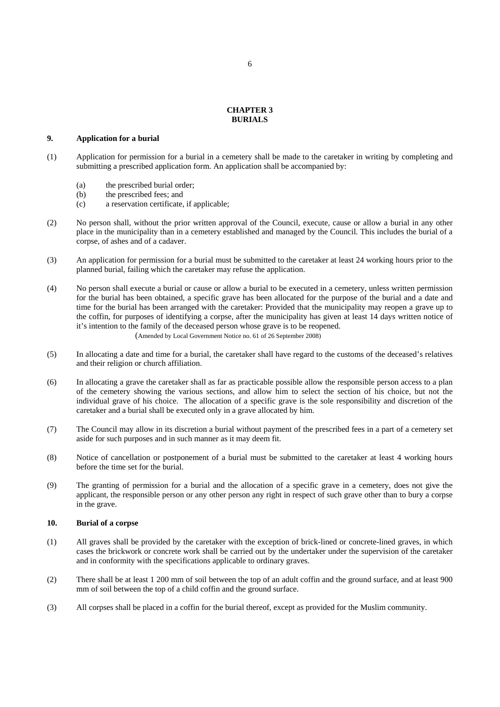# **CHAPTER 3 BURIALS**

# **9. Application for a burial**

- (1) Application for permission for a burial in a cemetery shall be made to the caretaker in writing by completing and submitting a prescribed application form. An application shall be accompanied by:
	- (a) the prescribed burial order;
	- (b) the prescribed fees; and
	- (c) a reservation certificate, if applicable;
- (2) No person shall, without the prior written approval of the Council, execute, cause or allow a burial in any other place in the municipality than in a cemetery established and managed by the Council. This includes the burial of a corpse, of ashes and of a cadaver.
- (3) An application for permission for a burial must be submitted to the caretaker at least 24 working hours prior to the planned burial, failing which the caretaker may refuse the application.
- (4) No person shall execute a burial or cause or allow a burial to be executed in a cemetery, unless written permission for the burial has been obtained, a specific grave has been allocated for the purpose of the burial and a date and time for the burial has been arranged with the caretaker: Provided that the municipality may reopen a grave up to the coffin, for purposes of identifying a corpse, after the municipality has given at least 14 days written notice of it's intention to the family of the deceased person whose grave is to be reopened. (Amended by Local Government Notice no. 61 of 26 September 2008)
- (5) In allocating a date and time for a burial, the caretaker shall have regard to the customs of the deceased's relatives and their religion or church affiliation.
- (6) In allocating a grave the caretaker shall as far as practicable possible allow the responsible person access to a plan of the cemetery showing the various sections, and allow him to select the section of his choice, but not the individual grave of his choice. The allocation of a specific grave is the sole responsibility and discretion of the caretaker and a burial shall be executed only in a grave allocated by him.
- (7) The Council may allow in its discretion a burial without payment of the prescribed fees in a part of a cemetery set aside for such purposes and in such manner as it may deem fit.
- (8) Notice of cancellation or postponement of a burial must be submitted to the caretaker at least 4 working hours before the time set for the burial.
- (9) The granting of permission for a burial and the allocation of a specific grave in a cemetery, does not give the applicant, the responsible person or any other person any right in respect of such grave other than to bury a corpse in the grave.

#### **10. Burial of a corpse**

- (1) All graves shall be provided by the caretaker with the exception of brick-lined or concrete-lined graves, in which cases the brickwork or concrete work shall be carried out by the undertaker under the supervision of the caretaker and in conformity with the specifications applicable to ordinary graves.
- (2) There shall be at least 1 200 mm of soil between the top of an adult coffin and the ground surface, and at least 900 mm of soil between the top of a child coffin and the ground surface.
- (3) All corpses shall be placed in a coffin for the burial thereof, except as provided for the Muslim community.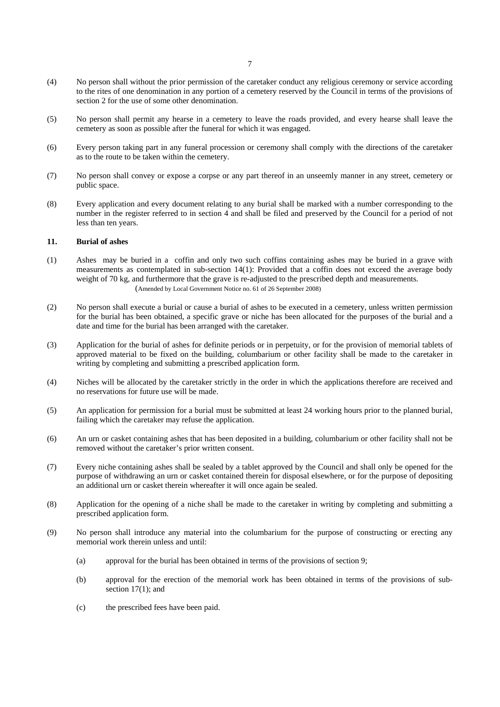- (4) No person shall without the prior permission of the caretaker conduct any religious ceremony or service according to the rites of one denomination in any portion of a cemetery reserved by the Council in terms of the provisions of section 2 for the use of some other denomination.
- (5) No person shall permit any hearse in a cemetery to leave the roads provided, and every hearse shall leave the cemetery as soon as possible after the funeral for which it was engaged.
- (6) Every person taking part in any funeral procession or ceremony shall comply with the directions of the caretaker as to the route to be taken within the cemetery.
- (7) No person shall convey or expose a corpse or any part thereof in an unseemly manner in any street, cemetery or public space.
- (8) Every application and every document relating to any burial shall be marked with a number corresponding to the number in the register referred to in section 4 and shall be filed and preserved by the Council for a period of not less than ten years.

#### **11. Burial of ashes**

- (1) Ashes may be buried in a coffin and only two such coffins containing ashes may be buried in a grave with measurements as contemplated in sub-section 14(1): Provided that a coffin does not exceed the average body weight of 70 kg, and furthermore that the grave is re-adjusted to the prescribed depth and measurements. (Amended by Local Government Notice no. 61 of 26 September 2008)
- (2) No person shall execute a burial or cause a burial of ashes to be executed in a cemetery, unless written permission for the burial has been obtained, a specific grave or niche has been allocated for the purposes of the burial and a date and time for the burial has been arranged with the caretaker.
- (3) Application for the burial of ashes for definite periods or in perpetuity, or for the provision of memorial tablets of approved material to be fixed on the building, columbarium or other facility shall be made to the caretaker in writing by completing and submitting a prescribed application form.
- (4) Niches will be allocated by the caretaker strictly in the order in which the applications therefore are received and no reservations for future use will be made.
- (5) An application for permission for a burial must be submitted at least 24 working hours prior to the planned burial, failing which the caretaker may refuse the application.
- (6) An urn or casket containing ashes that has been deposited in a building, columbarium or other facility shall not be removed without the caretaker's prior written consent.
- (7) Every niche containing ashes shall be sealed by a tablet approved by the Council and shall only be opened for the purpose of withdrawing an urn or casket contained therein for disposal elsewhere, or for the purpose of depositing an additional urn or casket therein whereafter it will once again be sealed.
- (8) Application for the opening of a niche shall be made to the caretaker in writing by completing and submitting a prescribed application form.
- (9) No person shall introduce any material into the columbarium for the purpose of constructing or erecting any memorial work therein unless and until:
	- (a) approval for the burial has been obtained in terms of the provisions of section 9;
	- (b) approval for the erection of the memorial work has been obtained in terms of the provisions of subsection 17(1); and
	- (c) the prescribed fees have been paid.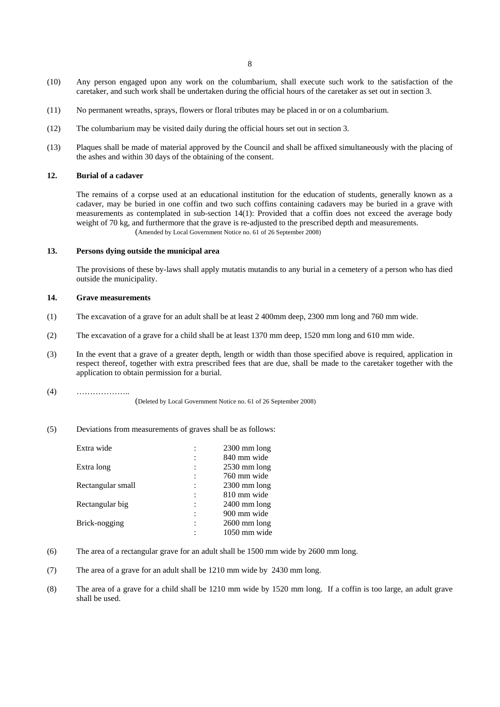- (10) Any person engaged upon any work on the columbarium, shall execute such work to the satisfaction of the caretaker, and such work shall be undertaken during the official hours of the caretaker as set out in section 3.
- (11) No permanent wreaths, sprays, flowers or floral tributes may be placed in or on a columbarium.
- (12) The columbarium may be visited daily during the official hours set out in section 3.
- (13) Plaques shall be made of material approved by the Council and shall be affixed simultaneously with the placing of the ashes and within 30 days of the obtaining of the consent.

#### **12. Burial of a cadaver**

The remains of a corpse used at an educational institution for the education of students, generally known as a cadaver, may be buried in one coffin and two such coffins containing cadavers may be buried in a grave with measurements as contemplated in sub-section 14(1): Provided that a coffin does not exceed the average body weight of 70 kg, and furthermore that the grave is re-adjusted to the prescribed depth and measurements. (Amended by Local Government Notice no. 61 of 26 September 2008)

**13. Persons dying outside the municipal area** 

The provisions of these by-laws shall apply mutatis mutandis to any burial in a cemetery of a person who has died outside the municipality.

#### **14. Grave measurements**

- (1) The excavation of a grave for an adult shall be at least 2 400mm deep, 2300 mm long and 760 mm wide.
- (2) The excavation of a grave for a child shall be at least 1370 mm deep, 1520 mm long and 610 mm wide.
- (3) In the event that a grave of a greater depth, length or width than those specified above is required, application in respect thereof, together with extra prescribed fees that are due, shall be made to the caretaker together with the application to obtain permission for a burial.

```
(4) ………………..
```
(Deleted by Local Government Notice no. 61 of 26 September 2008)

## (5) Deviations from measurements of graves shall be as follows:

| Extra wide        |                      | $2300$ mm long         |
|-------------------|----------------------|------------------------|
|                   | $\ddot{\cdot}$       | 840 mm wide            |
| Extra long        | $\ddot{\phantom{a}}$ | $2530 \text{ mm}$ long |
|                   | $\ddot{\cdot}$       | 760 mm wide            |
| Rectangular small | $\ddot{\cdot}$       | $2300$ mm long         |
|                   | $\ddot{\cdot}$       | 810 mm wide            |
| Rectangular big   | $\ddot{\phantom{a}}$ | $2400$ mm long         |
|                   | $\ddot{\cdot}$       | 900 mm wide            |
| Brick-nogging     |                      | $2600$ mm long         |
|                   |                      | 1050 mm wide           |

- (6) The area of a rectangular grave for an adult shall be 1500 mm wide by 2600 mm long.
- (7) The area of a grave for an adult shall be 1210 mm wide by 2430 mm long.
- (8) The area of a grave for a child shall be 1210 mm wide by 1520 mm long. If a coffin is too large, an adult grave shall be used.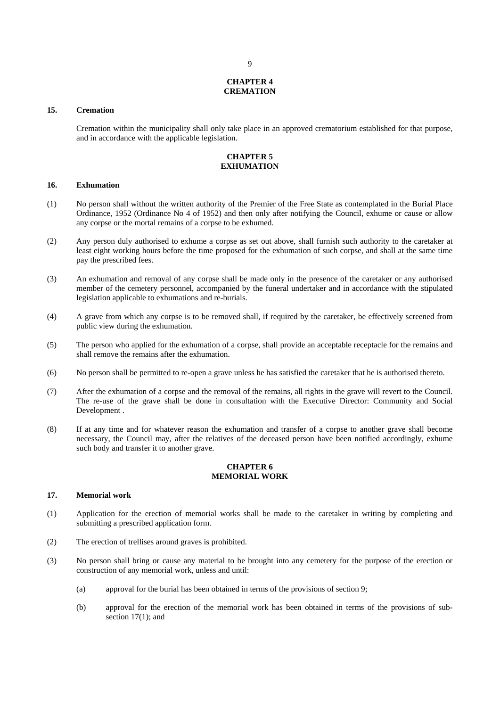# **CHAPTER 4 CREMATION**

## **15. Cremation**

Cremation within the municipality shall only take place in an approved crematorium established for that purpose, and in accordance with the applicable legislation.

# **CHAPTER 5 EXHUMATION**

## **16. Exhumation**

- (1) No person shall without the written authority of the Premier of the Free State as contemplated in the Burial Place Ordinance, 1952 (Ordinance No 4 of 1952) and then only after notifying the Council, exhume or cause or allow any corpse or the mortal remains of a corpse to be exhumed.
- (2) Any person duly authorised to exhume a corpse as set out above, shall furnish such authority to the caretaker at least eight working hours before the time proposed for the exhumation of such corpse, and shall at the same time pay the prescribed fees.
- (3) An exhumation and removal of any corpse shall be made only in the presence of the caretaker or any authorised member of the cemetery personnel, accompanied by the funeral undertaker and in accordance with the stipulated legislation applicable to exhumations and re-burials.
- (4) A grave from which any corpse is to be removed shall, if required by the caretaker, be effectively screened from public view during the exhumation.
- (5) The person who applied for the exhumation of a corpse, shall provide an acceptable receptacle for the remains and shall remove the remains after the exhumation.
- (6) No person shall be permitted to re-open a grave unless he has satisfied the caretaker that he is authorised thereto.
- (7) After the exhumation of a corpse and the removal of the remains, all rights in the grave will revert to the Council. The re-use of the grave shall be done in consultation with the Executive Director: Community and Social Development .
- (8) If at any time and for whatever reason the exhumation and transfer of a corpse to another grave shall become necessary, the Council may, after the relatives of the deceased person have been notified accordingly, exhume such body and transfer it to another grave.

# **CHAPTER 6 MEMORIAL WORK**

#### **17. Memorial work**

- (1) Application for the erection of memorial works shall be made to the caretaker in writing by completing and submitting a prescribed application form.
- (2) The erection of trellises around graves is prohibited.
- (3) No person shall bring or cause any material to be brought into any cemetery for the purpose of the erection or construction of any memorial work, unless and until:
	- (a) approval for the burial has been obtained in terms of the provisions of section 9;
	- (b) approval for the erection of the memorial work has been obtained in terms of the provisions of subsection 17(1); and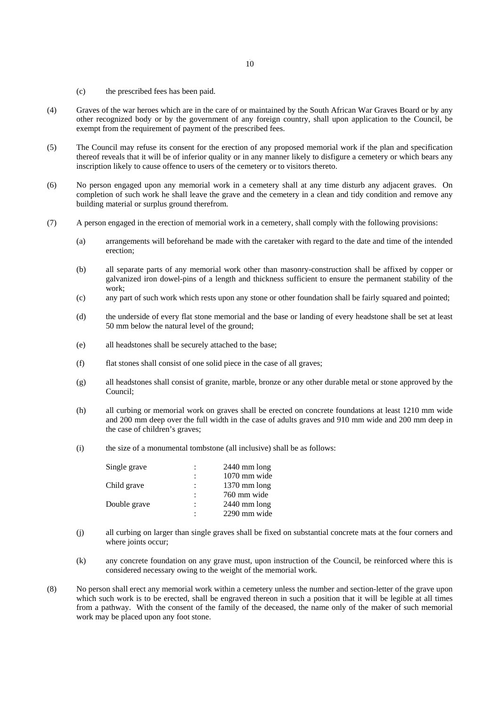- (c) the prescribed fees has been paid.
- (4) Graves of the war heroes which are in the care of or maintained by the South African War Graves Board or by any other recognized body or by the government of any foreign country, shall upon application to the Council, be exempt from the requirement of payment of the prescribed fees.
- (5) The Council may refuse its consent for the erection of any proposed memorial work if the plan and specification thereof reveals that it will be of inferior quality or in any manner likely to disfigure a cemetery or which bears any inscription likely to cause offence to users of the cemetery or to visitors thereto.
- (6) No person engaged upon any memorial work in a cemetery shall at any time disturb any adjacent graves. On completion of such work he shall leave the grave and the cemetery in a clean and tidy condition and remove any building material or surplus ground therefrom.
- (7) A person engaged in the erection of memorial work in a cemetery, shall comply with the following provisions:
	- (a) arrangements will beforehand be made with the caretaker with regard to the date and time of the intended erection;
	- (b) all separate parts of any memorial work other than masonry-construction shall be affixed by copper or galvanized iron dowel-pins of a length and thickness sufficient to ensure the permanent stability of the work;
	- (c) any part of such work which rests upon any stone or other foundation shall be fairly squared and pointed;
	- (d) the underside of every flat stone memorial and the base or landing of every headstone shall be set at least 50 mm below the natural level of the ground;
	- (e) all headstones shall be securely attached to the base;
	- (f) flat stones shall consist of one solid piece in the case of all graves;
	- (g) all headstones shall consist of granite, marble, bronze or any other durable metal or stone approved by the Council;
	- (h) all curbing or memorial work on graves shall be erected on concrete foundations at least 1210 mm wide and 200 mm deep over the full width in the case of adults graves and 910 mm wide and 200 mm deep in the case of children's graves;
	- (i) the size of a monumental tombstone (all inclusive) shall be as follows:

| Single grave | $\ddot{\cdot}$       | $2440$ mm long |
|--------------|----------------------|----------------|
|              | $\ddot{\cdot}$       | 1070 mm wide   |
| Child grave  | $\ddot{\phantom{a}}$ | $1370$ mm long |
|              | $\ddot{\cdot}$       | 760 mm wide    |
| Double grave | $\ddot{\phantom{a}}$ | $2440$ mm long |
|              | $\ddot{\cdot}$       | 2290 mm wide   |

- (j) all curbing on larger than single graves shall be fixed on substantial concrete mats at the four corners and where joints occur;
- (k) any concrete foundation on any grave must, upon instruction of the Council, be reinforced where this is considered necessary owing to the weight of the memorial work.
- (8) No person shall erect any memorial work within a cemetery unless the number and section-letter of the grave upon which such work is to be erected, shall be engraved thereon in such a position that it will be legible at all times from a pathway. With the consent of the family of the deceased, the name only of the maker of such memorial work may be placed upon any foot stone.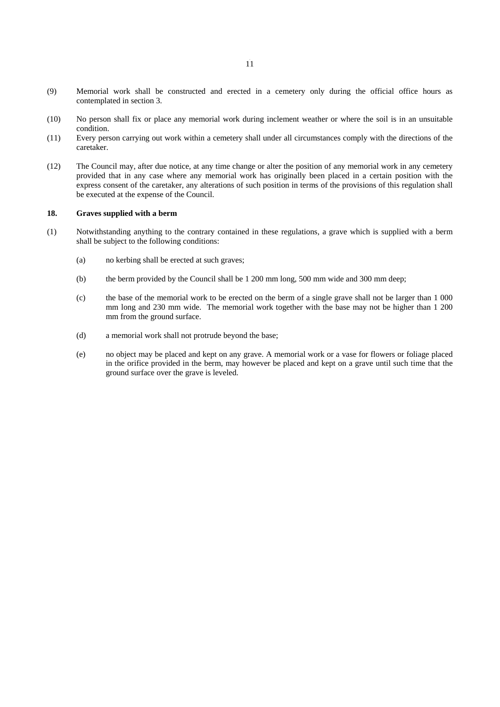- (9) Memorial work shall be constructed and erected in a cemetery only during the official office hours as contemplated in section 3.
- (10) No person shall fix or place any memorial work during inclement weather or where the soil is in an unsuitable condition.
- (11) Every person carrying out work within a cemetery shall under all circumstances comply with the directions of the caretaker.
- (12) The Council may, after due notice, at any time change or alter the position of any memorial work in any cemetery provided that in any case where any memorial work has originally been placed in a certain position with the express consent of the caretaker, any alterations of such position in terms of the provisions of this regulation shall be executed at the expense of the Council.

## **18. Graves supplied with a berm**

- (1) Notwithstanding anything to the contrary contained in these regulations, a grave which is supplied with a berm shall be subject to the following conditions:
	- (a) no kerbing shall be erected at such graves;
	- (b) the berm provided by the Council shall be 1 200 mm long, 500 mm wide and 300 mm deep;
	- (c) the base of the memorial work to be erected on the berm of a single grave shall not be larger than 1 000 mm long and 230 mm wide. The memorial work together with the base may not be higher than 1 200 mm from the ground surface.
	- (d) a memorial work shall not protrude beyond the base;
	- (e) no object may be placed and kept on any grave. A memorial work or a vase for flowers or foliage placed in the orifice provided in the berm, may however be placed and kept on a grave until such time that the ground surface over the grave is leveled.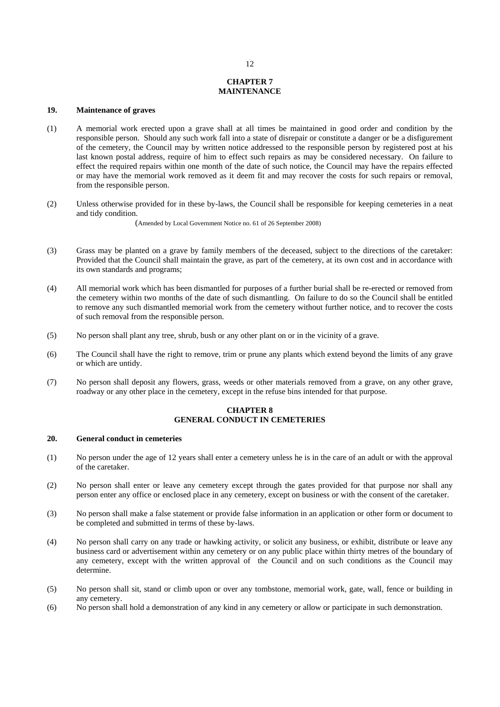# **CHAPTER 7 MAINTENANCE**

# **19. Maintenance of graves**

- (1) A memorial work erected upon a grave shall at all times be maintained in good order and condition by the responsible person. Should any such work fall into a state of disrepair or constitute a danger or be a disfigurement of the cemetery, the Council may by written notice addressed to the responsible person by registered post at his last known postal address, require of him to effect such repairs as may be considered necessary. On failure to effect the required repairs within one month of the date of such notice, the Council may have the repairs effected or may have the memorial work removed as it deem fit and may recover the costs for such repairs or removal, from the responsible person.
- (2) Unless otherwise provided for in these by-laws, the Council shall be responsible for keeping cemeteries in a neat and tidy condition.

(Amended by Local Government Notice no. 61 of 26 September 2008)

- (3) Grass may be planted on a grave by family members of the deceased, subject to the directions of the caretaker: Provided that the Council shall maintain the grave, as part of the cemetery, at its own cost and in accordance with its own standards and programs;
- (4) All memorial work which has been dismantled for purposes of a further burial shall be re-erected or removed from the cemetery within two months of the date of such dismantling. On failure to do so the Council shall be entitled to remove any such dismantled memorial work from the cemetery without further notice, and to recover the costs of such removal from the responsible person.
- (5) No person shall plant any tree, shrub, bush or any other plant on or in the vicinity of a grave.
- (6) The Council shall have the right to remove, trim or prune any plants which extend beyond the limits of any grave or which are untidy.
- (7) No person shall deposit any flowers, grass, weeds or other materials removed from a grave, on any other grave, roadway or any other place in the cemetery, except in the refuse bins intended for that purpose.

# **CHAPTER 8 GENERAL CONDUCT IN CEMETERIES**

#### **20. General conduct in cemeteries**

- (1) No person under the age of 12 years shall enter a cemetery unless he is in the care of an adult or with the approval of the caretaker.
- (2) No person shall enter or leave any cemetery except through the gates provided for that purpose nor shall any person enter any office or enclosed place in any cemetery, except on business or with the consent of the caretaker.
- (3) No person shall make a false statement or provide false information in an application or other form or document to be completed and submitted in terms of these by-laws.
- (4) No person shall carry on any trade or hawking activity, or solicit any business, or exhibit, distribute or leave any business card or advertisement within any cemetery or on any public place within thirty metres of the boundary of any cemetery, except with the written approval of the Council and on such conditions as the Council may determine.
- (5) No person shall sit, stand or climb upon or over any tombstone, memorial work, gate, wall, fence or building in any cemetery.
- (6) No person shall hold a demonstration of any kind in any cemetery or allow or participate in such demonstration.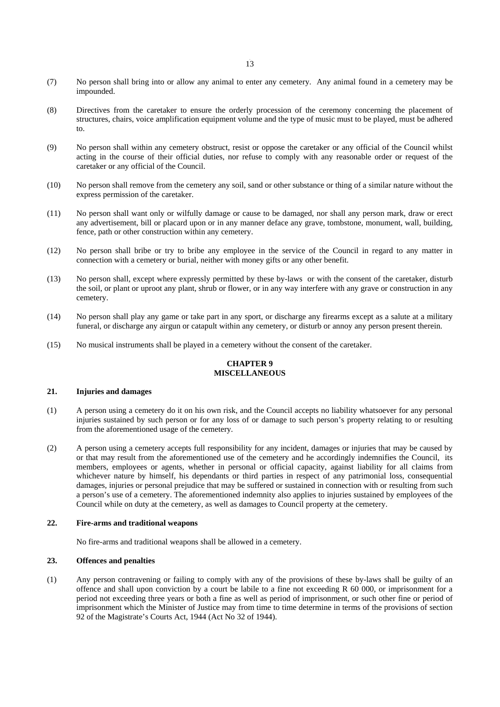- (7) No person shall bring into or allow any animal to enter any cemetery. Any animal found in a cemetery may be impounded.
- (8) Directives from the caretaker to ensure the orderly procession of the ceremony concerning the placement of structures, chairs, voice amplification equipment volume and the type of music must to be played, must be adhered to.
- (9) No person shall within any cemetery obstruct, resist or oppose the caretaker or any official of the Council whilst acting in the course of their official duties, nor refuse to comply with any reasonable order or request of the caretaker or any official of the Council.
- (10) No person shall remove from the cemetery any soil, sand or other substance or thing of a similar nature without the express permission of the caretaker.
- (11) No person shall want only or wilfully damage or cause to be damaged, nor shall any person mark, draw or erect any advertisement, bill or placard upon or in any manner deface any grave, tombstone, monument, wall, building, fence, path or other construction within any cemetery.
- (12) No person shall bribe or try to bribe any employee in the service of the Council in regard to any matter in connection with a cemetery or burial, neither with money gifts or any other benefit.
- (13) No person shall, except where expressly permitted by these by-laws or with the consent of the caretaker, disturb the soil, or plant or uproot any plant, shrub or flower, or in any way interfere with any grave or construction in any cemetery.
- (14) No person shall play any game or take part in any sport, or discharge any firearms except as a salute at a military funeral, or discharge any airgun or catapult within any cemetery, or disturb or annoy any person present therein.
- (15) No musical instruments shall be played in a cemetery without the consent of the caretaker.

# **CHAPTER 9 MISCELLANEOUS**

## **21. Injuries and damages**

- (1) A person using a cemetery do it on his own risk, and the Council accepts no liability whatsoever for any personal injuries sustained by such person or for any loss of or damage to such person's property relating to or resulting from the aforementioned usage of the cemetery.
- (2) A person using a cemetery accepts full responsibility for any incident, damages or injuries that may be caused by or that may result from the aforementioned use of the cemetery and he accordingly indemnifies the Council, its members, employees or agents, whether in personal or official capacity, against liability for all claims from whichever nature by himself, his dependants or third parties in respect of any patrimonial loss, consequential damages, injuries or personal prejudice that may be suffered or sustained in connection with or resulting from such a person's use of a cemetery. The aforementioned indemnity also applies to injuries sustained by employees of the Council while on duty at the cemetery, as well as damages to Council property at the cemetery.

# **22. Fire-arms and traditional weapons**

No fire-arms and traditional weapons shall be allowed in a cemetery.

#### **23. Offences and penalties**

(1) Any person contravening or failing to comply with any of the provisions of these by-laws shall be guilty of an offence and shall upon conviction by a court be labile to a fine not exceeding R 60 000, or imprisonment for a period not exceeding three years or both a fine as well as period of imprisonment, or such other fine or period of imprisonment which the Minister of Justice may from time to time determine in terms of the provisions of section 92 of the Magistrate's Courts Act, 1944 (Act No 32 of 1944).